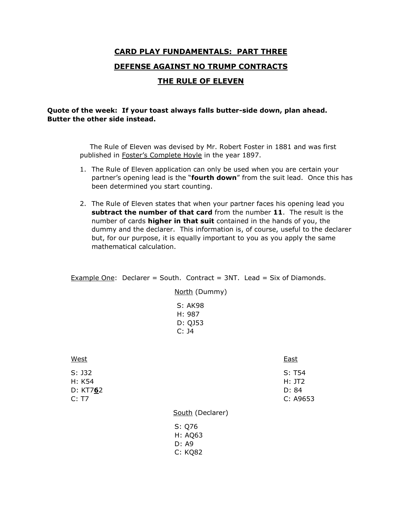## **CARD PLAY FUNDAMENTALS: PART THREE DEFENSE AGAINST NO TRUMP CONTRACTS THE RULE OF ELEVEN**

## **Quote of the week: If your toast always falls butter-side down, plan ahead. Butter the other side instead.**

 The Rule of Eleven was devised by Mr. Robert Foster in 1881 and was first published in Foster's Complete Hoyle in the year 1897.

- 1. The Rule of Eleven application can only be used when you are certain your partner's opening lead is the "**fourth down**" from the suit lead. Once this has been determined you start counting.
- 2. The Rule of Eleven states that when your partner faces his opening lead you **subtract the number of that card** from the number **11**. The result is the number of cards **higher in that suit** contained in the hands of you, the dummy and the declarer. This information is, of course, useful to the declarer but, for our purpose, it is equally important to you as you apply the same mathematical calculation.

Example One: Declarer = South. Contract =  $3NT$ . Lead = Six of Diamonds.

North (Dummy) S: AK98 H: 987 D: QJ53 C: J4

| West                                    |                   | <b>East</b>                           |
|-----------------------------------------|-------------------|---------------------------------------|
| $S:$ J32<br>H: K54<br>D: KT762<br>C: T7 |                   | S: T54<br>H: JT2<br>D: 84<br>C: A9653 |
|                                         | South (Declarer)  |                                       |
|                                         | S: Q76<br>H: AQ63 |                                       |

- D: A9
- C: KQ82